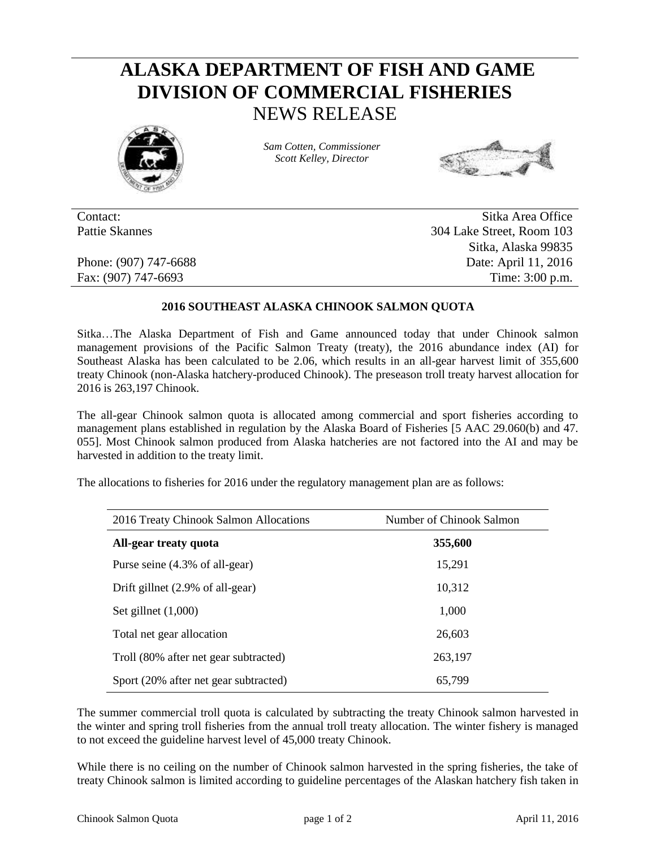## **ALASKA DEPARTMENT OF FISH AND GAME DIVISION OF COMMERCIAL FISHERIES** NEWS RELEASE



*Sam Cotten, Commissioner Scott Kelley, Director*



Contact: Sitka Area Office Pattie Skannes 304 Lake Street, Room 103 Sitka, Alaska 99835 Phone: (907) 747-6688 Date: April 11, 2016 Fax: (907) 747-6693 Time: 3:00 p.m.

## **2016 SOUTHEAST ALASKA CHINOOK SALMON QUOTA**

Sitka…The Alaska Department of Fish and Game announced today that under Chinook salmon management provisions of the Pacific Salmon Treaty (treaty), the 2016 abundance index (AI) for Southeast Alaska has been calculated to be 2.06, which results in an all-gear harvest limit of 355,600 treaty Chinook (non-Alaska hatchery-produced Chinook). The preseason troll treaty harvest allocation for 2016 is 263,197 Chinook.

The all-gear Chinook salmon quota is allocated among commercial and sport fisheries according to management plans established in regulation by the Alaska Board of Fisheries [5 AAC 29.060(b) and 47. 055]. Most Chinook salmon produced from Alaska hatcheries are not factored into the AI and may be harvested in addition to the treaty limit.

The allocations to fisheries for 2016 under the regulatory management plan are as follows:

| 2016 Treaty Chinook Salmon Allocations | Number of Chinook Salmon |  |  |  |
|----------------------------------------|--------------------------|--|--|--|
| All-gear treaty quota                  | 355,600                  |  |  |  |
| Purse seine (4.3% of all-gear)         | 15,291                   |  |  |  |
| Drift gillnet (2.9% of all-gear)       | 10,312                   |  |  |  |
| Set gillnet $(1,000)$                  | 1,000                    |  |  |  |
| Total net gear allocation              | 26,603                   |  |  |  |
| Troll (80% after net gear subtracted)  | 263,197                  |  |  |  |
| Sport (20% after net gear subtracted)  | 65,799                   |  |  |  |

The summer commercial troll quota is calculated by subtracting the treaty Chinook salmon harvested in the winter and spring troll fisheries from the annual troll treaty allocation. The winter fishery is managed to not exceed the guideline harvest level of 45,000 treaty Chinook.

While there is no ceiling on the number of Chinook salmon harvested in the spring fisheries, the take of treaty Chinook salmon is limited according to guideline percentages of the Alaskan hatchery fish taken in